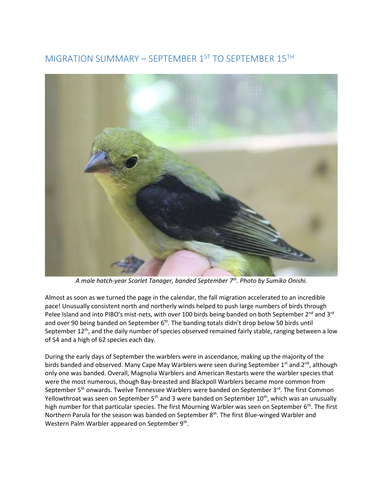## MIGRATION SUMMARY – SEPTEMBER 1ST TO SEPTEMBER 15TH



*A male hatch-year Scarlet Tanager, banded September 7th. Photo by Sumiko Onishi.* 

Almost as soon as we turned the page in the calendar, the fall migration accelerated to an incredible pace! Unusually consistent north and northerly winds helped to push large numbers of birds through Pelee Island and into PIBO's mist-nets, with over 100 birds being banded on both September 2<sup>nd</sup> and 3<sup>rd</sup> and over 90 being banded on September  $6<sup>th</sup>$ . The banding totals didn't drop below 50 birds until September 12<sup>th</sup>, and the daily number of species observed remained fairly stable, ranging between a low of 54 and a high of 62 species each day.

During the early days of September the warblers were in ascendance, making up the majority of the birds banded and observed. Many Cape May Warblers were seen during September 1st and  $2^{nd}$ , although only one was banded. Overall, Magnolia Warblers and American Restarts were the warbler species that were the most numerous, though Bay-breasted and Blackpoll Warblers became more common from September 5<sup>th</sup> onwards. Twelve Tennessee Warblers were banded on September 3<sup>rd</sup>. The first Common Yellowthroat was seen on September 5<sup>th</sup> and 3 were banded on September 10<sup>th</sup>, which was an unusually high number for that particular species. The first Mourning Warbler was seen on September 6<sup>th</sup>. The first Northern Parula for the season was banded on September 8<sup>th</sup>. The first Blue-winged Warbler and Western Palm Warbler appeared on September  $9<sup>th</sup>$ .